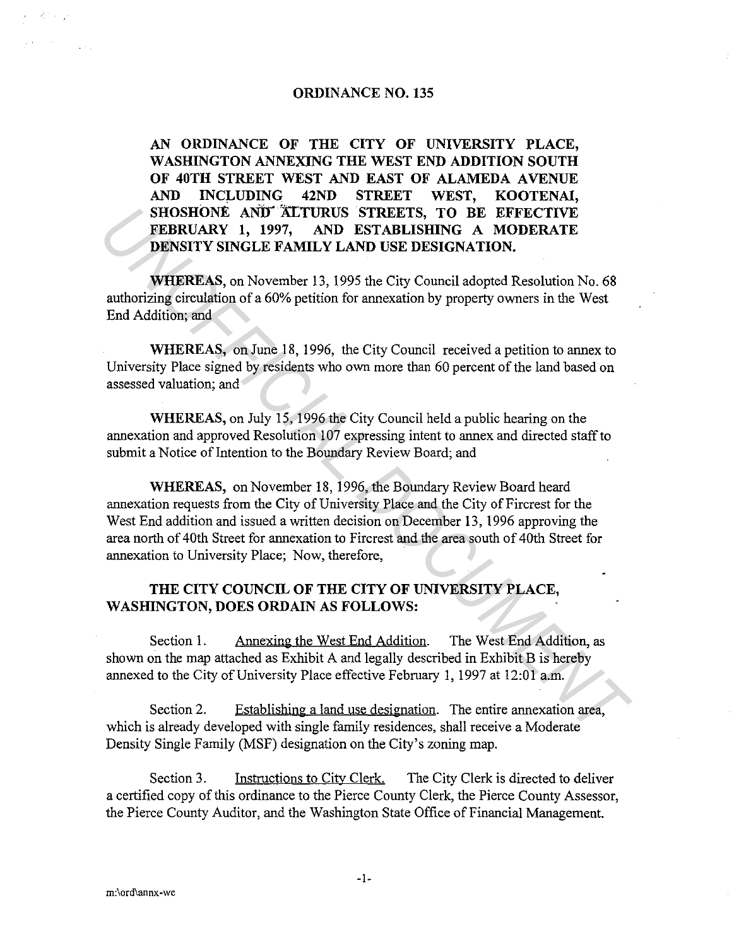#### **ORDINANCE NO. 135**

**AN ORDINANCE OF THE CITY OF UNIVERSITY PLACE, WASHINGTON ANNEXING THE WEST END ADDITION SOUTH OF 40TH STREET WEST AND EAST OF ALAMEDA AVENUE AND INCLUDING 42ND STREET WEST, KOOTENAI,**  SHOSHONE AND ALTURUS STREETS, TO BE EFFECTIVE **FEBRUARY 1, 1997, AND ESTABLISHING A MODERATE DENSITY SINGLE FAMILY LAND USE DESIGNATION.** 

**WHEREAS,** on November 13, 1995 the City Council adopted Resolution No. 68 authorizing circulation of a 60% petition for annexation by property owners in the West End Addition; and

**WHEREAS,** on June 18, 1996, the City Council received a petition to annex to University Place signed by residents who own more than 60 percent of the land based on assessed valuation; and

**WHEREAS,** on July 15, 1996 the City Council held a public hearing on the annexation and approved Resolution 107 expressing intent to annex and directed staff to submit a Notice of Intention to the Boundary Review Board; and

**WHEREAS,** on November 18, 1996, the Boundary Review Board heard annexation requests from the City of University Place and the City of Fircrest for the West End addition and issued a written decision on December 13, 1996 approving the area north of 40th Street for annexation to Fircrest and the area south of 40th Street for annexation to University Place; Now, therefore, **SHONGA AND' ATTURUS STREETS, TO BE EFFECTIVE<br>
FEBRUARY 1, 1997, AND ESTABLISHING A MODERATE<br>
DENSITY SINGLE FAMILY LAND USE DESIGNATION,<br>
WHEREAS, on November 13, 1995 the City Council adopted Resolution No. 68<br>
authorizi** 

### **THE CITY COUNCIL OF THE CITY OF UNIVERSITY PLACE, WASHINGTON, DOES ORDAIN AS FOLLOWS:**

Section 1. Annexing the West End Addition. The West End Addition, as shown on the map attached as Exhibit A and legally described in Exhibit B is hereby annexed to the City of University Place effective February 1, 1997 at 12:01 a.m.

Section 2. Establishing a land use designation. The entire annexation area, which is already developed with single family residences, shall receive a Moderate Density Single Family (MSF) designation on the City's zoning map.

Section 3. Instructions to City Clerk. The City Clerk is directed to deliver a certified copy of this ordinance to the Pierce County Clerk, the Pierce County Assessor, the Pierce County Auditor, and the Washington State Office of Financial Management.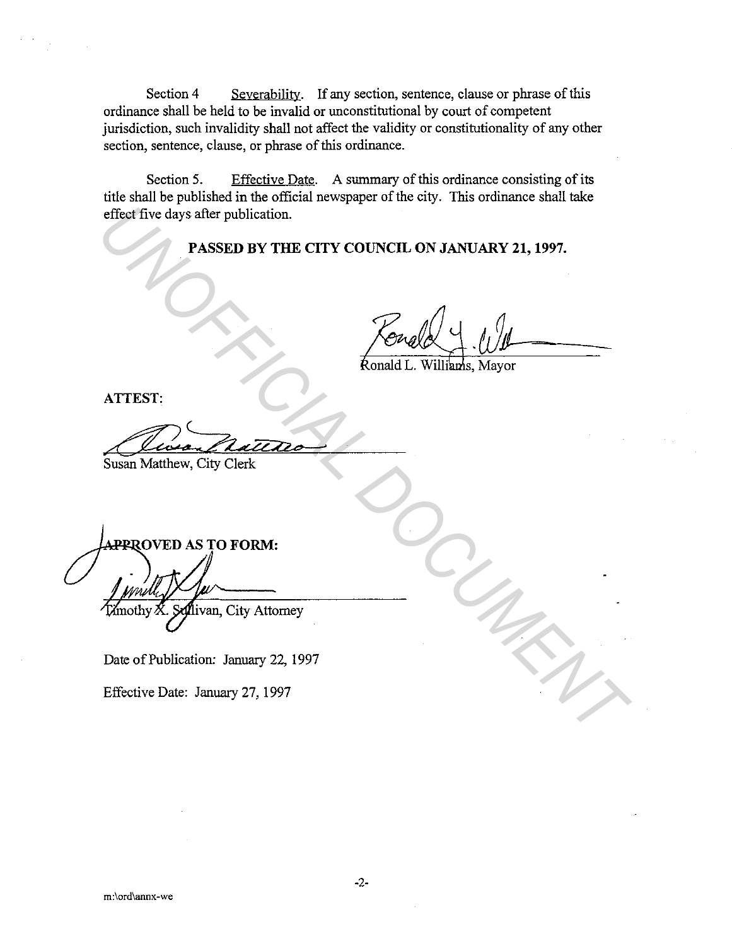Section 4 Severability. If any section, sentence, clause or phrase of this ordinance shall be held to be invalid or unconstitutional by court of competent jurisdiction, such invalidity shall not affect the validity or constitutionality of any other section, sentence, clause, or phrase of this ordinance.

Section 5. Effective Date. A summary of this ordinance consisting of its title shall be published in the official newspaper of the city. This ordinance shall take effect five days after publication.

#### **PASSED BY THE CITY COUNCIL ON JANUARY 21, 1997.**

**ATTEST:** 

Susan Matthew, City Clerk

**EXAMPLE CITY COUNCIL ON JANUARY 21, 1997.**<br> **PASSED BY THE CITY COUNCIL ON JANUARY 21, 1997.**<br> **ATTEST:**<br>
SUSAN Matthew, City Clerk<br>
AMPIROVED AS TO FORM:<br>
<br>
AMPIROVED AS TO FORM:<br>
<br>
AMPIROVED AS TO FORM:<br>
<br>
Date of Publi

Date of Publication: January 22, 1997

Effective Date: January 27, 1997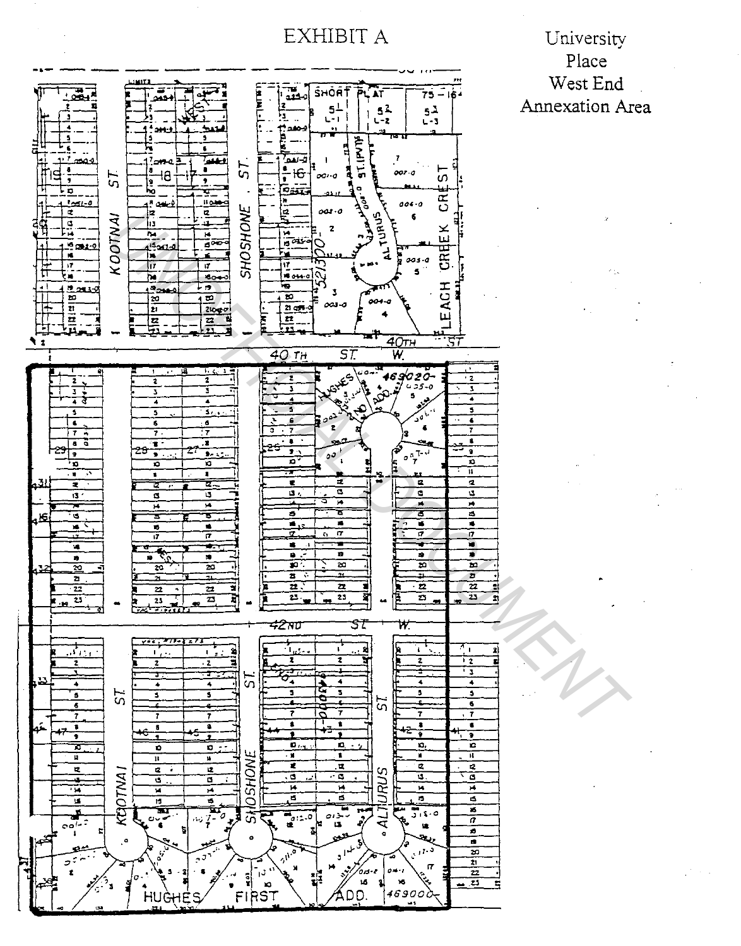EXHIBIT A

University Place West End **Annexation Area** 

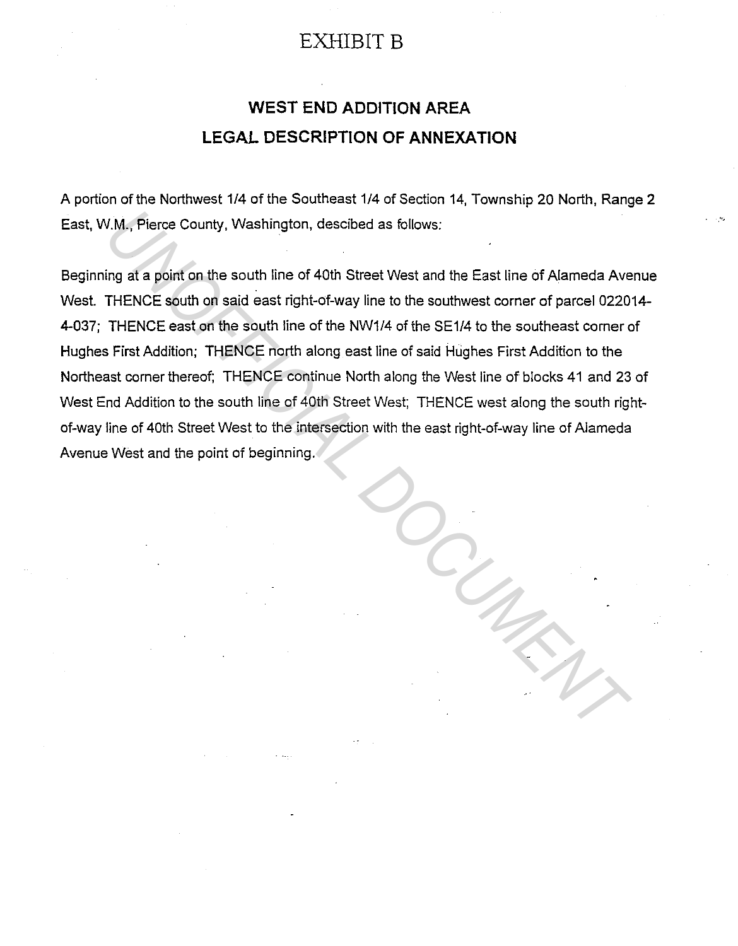## EXHIBIT B

# **WEST END ADDITION AREA LEGAL DESCRIPTION OF ANNEXATION**

A portion of the Northwest 1/4 of the Southeast 1/4 of Section 14, Township 20 North, Range 2 East, W.M., Pierce County, Washington, descibed as follows:

Beginning at a point on the south line of 40th Street West and the East line of Alameda Avenue West. THENCE south on said east right-of-way line to the southwest corner of parcel 022014- 4-037; THENCE east on the south line of the NW1/4 of the SE1/4 to the southeast corner of Hughes First Addition; THENCE north along east line of said Hughes First Addition to the Northeast corner thereof; THENCE continue North along the West line of blocks 41 and 23 of West End Addition to the south line of 40th Street West; THENCE west along the south rightof-way line of 40th Street West to the intersection with the east right-of-way line of Alameda Avenue West and the point of beginning. *U.M., Pierce County, Washington, descibed as follows:*<br>
Ung at a point on the south line of 40th Street West and the East line of Alameda Ave<br>
THENCE south on said east right-of-way line to the southwest corner of parcel